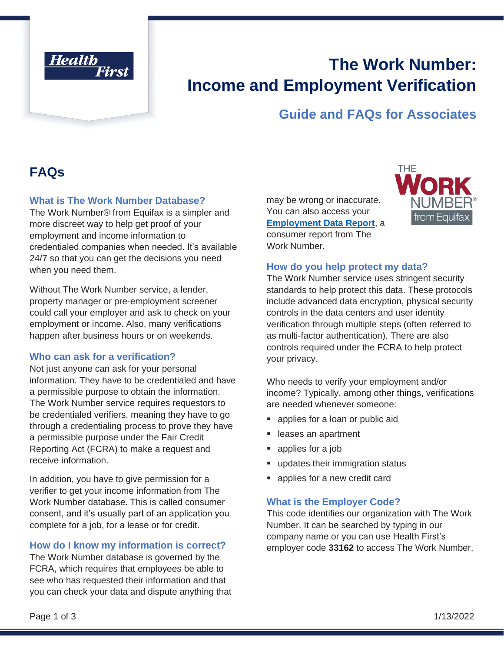

# **The Work Number: Income and Employment Verification**

### **Guide and FAQs for Associates**

# **FAQs**

### **What is The Work Number Database?**

The Work Number® from Equifax is a simpler and more discreet way to help get proof of your employment and income information to credentialed companies when needed. It's available 24/7 so that you can get the decisions you need when you need them.

Without The Work Number service, a lender, property manager or pre-employment screener could call your employer and ask to check on your employment or income. Also, many verifications happen after business hours or on weekends.

#### **Who can ask for a verification?**

Not just anyone can ask for your personal information. They have to be credentialed and have a permissible purpose to obtain the information. The Work Number service requires requestors to be credentialed verifiers, meaning they have to go through a credentialing process to prove they have a permissible purpose under the Fair Credit Reporting Act (FCRA) to make a request and receive information.

In addition, you have to give permission for a verifier to get your income information from The Work Number database. This is called consumer consent, and it's usually part of an application you complete for a job, for a lease or for credit.

### **How do I know my information is correct?**

The Work Number database is governed by the FCRA, which requires that employees be able to see who has requested their information and that you can check your data and dispute anything that may be wrong or inaccurate. You can also access your **[Employment Data Report](https://employees.theworknumber.com/employment-data-report)**, a consumer report from The Work Number.



#### **How do you help protect my data?**

The Work Number service uses stringent security standards to help protect this data. These protocols include advanced data encryption, physical security controls in the data centers and user identity verification through multiple steps (often referred to as multi-factor authentication). There are also controls required under the FCRA to help protect your privacy.

Who needs to verify your employment and/or income? Typically, among other things, verifications are needed whenever someone:

- applies for a loan or public aid
- **Exercise** an apartment
- applies for a job
- updates their immigration status
- applies for a new credit card

### **What is the Employer Code?**

This code identifies our organization with The Work Number. It can be searched by typing in our company name or you can use Health First's employer code **33162** to access The Work Number.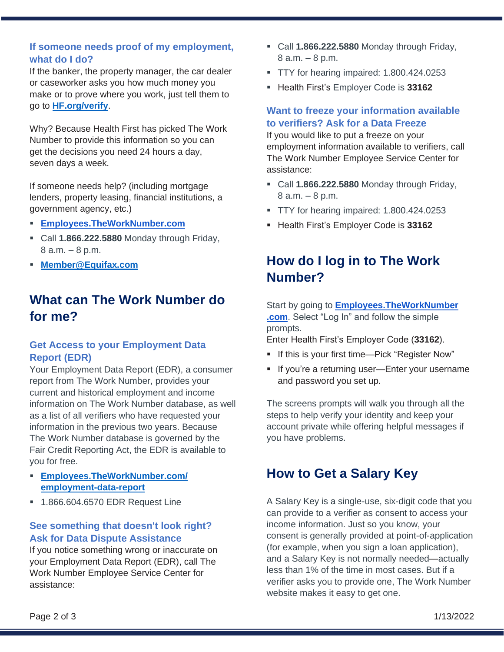### **If someone needs proof of my employment, what do I do?**

If the banker, the property manager, the car dealer or caseworker asks you how much money you make or to prove where you work, just tell them to go to **[HF.org/verify](https://www.hf.org/verify)**.

Why? Because Health First has picked The Work Number to provide this information so you can get the decisions you need 24 hours a day, seven days a week.

If someone needs help? (including mortgage lenders, property leasing, financial institutions, a government agency, etc.)

- **[Employees.TheWorkNumber.com](https://employee.theworknumber.com/)**
- Call **1.866.222.5880** Monday through Friday, 8 a.m. – 8 p.m.
- **[Member@Equifax.com](mailto:Member@Equifax.com)**

# **What can The Work Number do for me?**

### **Get Access to your Employment Data Report (EDR)**

Your Employment Data Report (EDR), a consumer report from The Work Number, provides your current and historical employment and income information on The Work Number database, as well as a list of all verifiers who have requested your information in the previous two years. Because The Work Number database is governed by the Fair Credit Reporting Act, the EDR is available to you for free.

- **[Employees.TheWorkNumber.com/](https://employees.theworknumber.com/employment-data-report) [employment-data-report](https://employees.theworknumber.com/employment-data-report)**
- 1.866.604.6570 EDR Request Line

### **See something that doesn't look right? Ask for Data Dispute Assistance**

If you notice something wrong or inaccurate on your Employment Data Report (EDR), call The Work Number Employee Service Center for assistance:

- Call **1.866.222.5880** Monday through Friday, 8 a.m. – 8 p.m.
- **TTY** for hearing impaired: 1.800.424.0253
- Health First's Employer Code is **33162**

### **Want to freeze your information available to verifiers? Ask for a Data Freeze**

If you would like to put a freeze on your employment information available to verifiers, call The Work Number Employee Service Center for assistance:

- Call **1.866.222.5880** Monday through Friday, 8 a.m. – 8 p.m.
- TTY for hearing impaired: 1.800.424.0253
- Health First's Employer Code is **33162**

# **How do I log in to The Work Number?**

Start by going to **[Employees.TheWorkNumber](https://employee.theworknumber.com/) [.com](https://employee.theworknumber.com/)**. Select "Log In" and follow the simple prompts.

Enter Health First's Employer Code (**33162**).

- **.** If this is your first time—Pick "Register Now"
- **·** If you're a returning user-Enter your username and password you set up.

The screens prompts will walk you through all the steps to help verify your identity and keep your account private while offering helpful messages if you have problems.

### **How to Get a Salary Key**

A Salary Key is a single-use, six-digit code that you can provide to a verifier as consent to access your income information. Just so you know, your consent is generally provided at point-of-application (for example, when you sign a loan application), and a Salary Key is not normally needed—actually less than 1% of the time in most cases. But if a verifier asks you to provide one, The Work Number website makes it easy to get one.